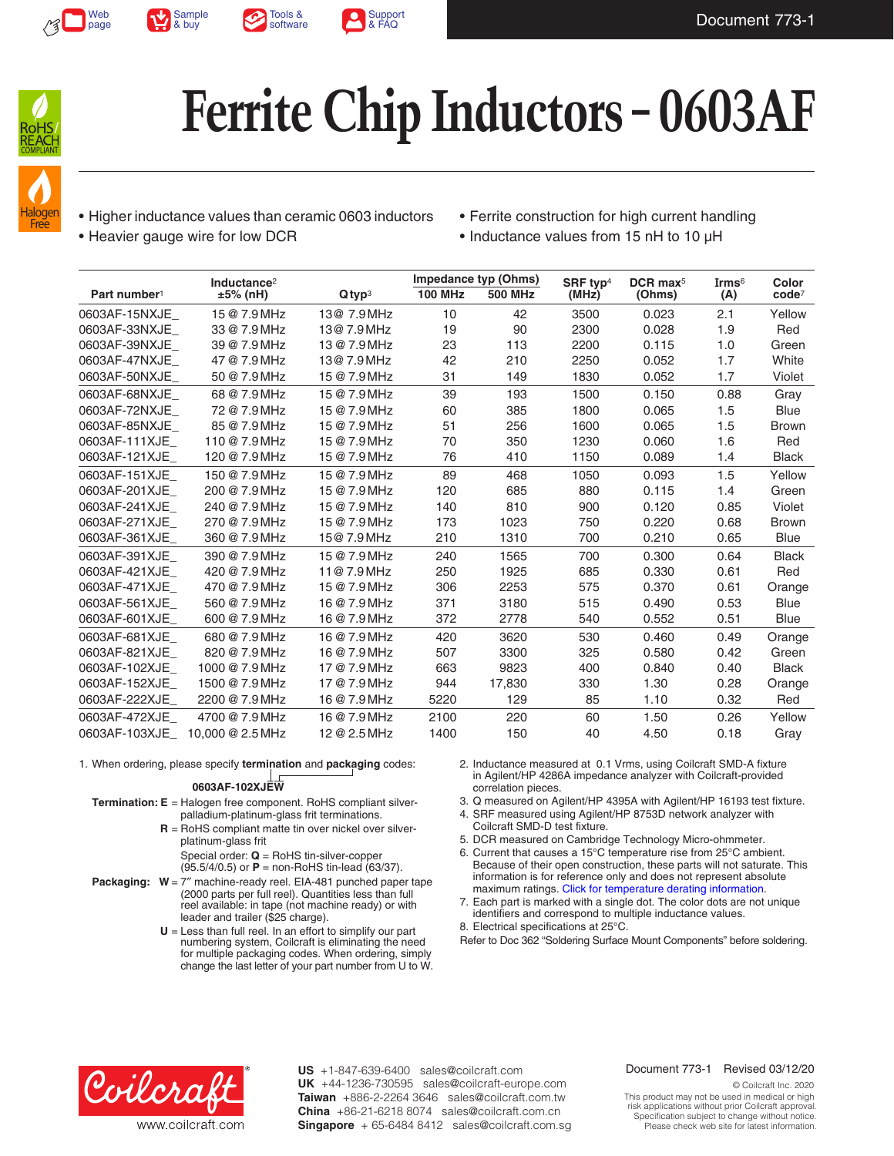









- Halogen **Free**
- Higher inductance values than ceramic 0603 inductors
- Heavier gauge wire for low DCR
- Ferrite construction for high current handling
- Inductance values from 15 nH to 10 µH

|                          | Inductance <sup>2</sup> |                      | Impedance typ (Ohms) |                | SRF typ <sup>4</sup> | DCR max <sup>5</sup> | Irms <sup>6</sup> | Color        |
|--------------------------|-------------------------|----------------------|----------------------|----------------|----------------------|----------------------|-------------------|--------------|
| Part number <sup>1</sup> | ±5% (nH)                | $Q$ typ <sup>3</sup> | <b>100 MHz</b>       | <b>500 MHz</b> | (MHz)                | (Ohms)               | (A)               | $code^7$     |
| 0603AF-15NXJE            | 15 @ 7.9 MHz            | 13@ 7.9 MHz          | 10                   | 42             | 3500                 | 0.023                | 2.1               | Yellow       |
| 0603AF-33NXJE            | 33 @ 7.9 MHz            | 13@ 7.9 MHz          | 19                   | 90             | 2300                 | 0.028                | 1.9               | Red          |
| 0603AF-39NXJE            | 39 @ 7.9 MHz            | 13 @ 7.9 MHz         | 23                   | 113            | 2200                 | 0.115                | 1.0               | Green        |
| 0603AF-47NXJE            | 47 @ 7.9 MHz            | 13@ 7.9 MHz          | 42                   | 210            | 2250                 | 0.052                | 1.7               | White        |
| 0603AF-50NXJE            | 50 @ 7.9 MHz            | 15 @ 7.9 MHz         | 31                   | 149            | 1830                 | 0.052                | 1.7               | Violet       |
| 0603AF-68NXJE            | 68 @ 7.9 MHz            | 15 @ 7.9 MHz         | 39                   | 193            | 1500                 | 0.150                | 0.88              | Gray         |
| 0603AF-72NXJE            | 72 @ 7.9 MHz            | 15 @ 7.9 MHz         | 60                   | 385            | 1800                 | 0.065                | 1.5               | <b>Blue</b>  |
| 0603AF-85NXJE            | 85 @ 7.9 MHz            | 15 @ 7.9 MHz         | 51                   | 256            | 1600                 | 0.065                | 1.5               | <b>Brown</b> |
| 0603AF-111XJE            | 110 @ 7.9 MHz           | 15 @ 7.9 MHz         | 70                   | 350            | 1230                 | 0.060                | 1.6               | Red          |
| 0603AF-121XJE            | 120 @ 7.9 MHz           | 15 @ 7.9 MHz         | 76                   | 410            | 1150                 | 0.089                | 1.4               | <b>Black</b> |
| 0603AF-151XJE            | 150 @ 7.9 MHz           | 15 @ 7.9 MHz         | 89                   | 468            | 1050                 | 0.093                | 1.5               | Yellow       |
| 0603AF-201XJE            | 200 @ 7.9 MHz           | 15 @ 7.9 MHz         | 120                  | 685            | 880                  | 0.115                | 1.4               | Green        |
| 0603AF-241XJE            | 240 @ 7.9 MHz           | 15 @ 7.9 MHz         | 140                  | 810            | 900                  | 0.120                | 0.85              | Violet       |
| 0603AF-271XJE            | 270 @ 7.9 MHz           | 15 @ 7.9 MHz         | 173                  | 1023           | 750                  | 0.220                | 0.68              | <b>Brown</b> |
| 0603AF-361XJE            | 360 @ 7.9 MHz           | 15@ 7.9 MHz          | 210                  | 1310           | 700                  | 0.210                | 0.65              | <b>Blue</b>  |
| 0603AF-391XJE            | 390 @ 7.9 MHz           | 15 @ 7.9 MHz         | 240                  | 1565           | 700                  | 0.300                | 0.64              | <b>Black</b> |
| 0603AF-421XJE            | 420 @ 7.9 MHz           | 11@7.9MHz            | 250                  | 1925           | 685                  | 0.330                | 0.61              | Red          |
| 0603AF-471XJE            | 470 @ 7.9 MHz           | 15 @ 7.9 MHz         | 306                  | 2253           | 575                  | 0.370                | 0.61              | Orange       |
| 0603AF-561XJE            | 560 @ 7.9 MHz           | 16 @ 7.9 MHz         | 371                  | 3180           | 515                  | 0.490                | 0.53              | <b>Blue</b>  |
| 0603AF-601XJE            | 600 @ 7.9 MHz           | 16 @ 7.9 MHz         | 372                  | 2778           | 540                  | 0.552                | 0.51              | <b>Blue</b>  |
| 0603AF-681XJE            | 680 @ 7.9 MHz           | 16 @ 7.9 MHz         | 420                  | 3620           | 530                  | 0.460                | 0.49              | Orange       |
| 0603AF-821XJE            | 820 @ 7.9 MHz           | 16 @ 7.9 MHz         | 507                  | 3300           | 325                  | 0.580                | 0.42              | Green        |
| 0603AF-102XJE            | 1000 @ 7.9 MHz          | 17 @ 7.9 MHz         | 663                  | 9823           | 400                  | 0.840                | 0.40              | <b>Black</b> |
| 0603AF-152XJE            | 1500 @ 7.9 MHz          | 17 @ 7.9 MHz         | 944                  | 17,830         | 330                  | 1.30                 | 0.28              | Orange       |
| 0603AF-222XJE            | 2200 @ 7.9 MHz          | 16 @ 7.9 MHz         | 5220                 | 129            | 85                   | 1.10                 | 0.32              | Red          |
| 0603AF-472XJE            | 4700 @ 7.9 MHz          | 16 @ 7.9 MHz         | 2100                 | 220            | 60                   | 1.50                 | 0.26              | Yellow       |
| 0603AF-103XJE            | 10,000 @ 2.5 MHz        | 12 @ 2.5 MHz         | 1400                 | 150            | 40                   | 4.50                 | 0.18              | Gray         |

1. When ordering, please specify **termination** and **packaging** codes:

## **0603AF-102XJEW**

- **Termination: E** = Halogen free component. RoHS compliant silverpalladium-platinum-glass frit terminations.
	- **R** = RoHS compliant matte tin over nickel over silverplatinum-glass frit

 Special order: **Q** = RoHS tin-silver-copper (95.5/4/0.5) or **P** = non-RoHS tin-lead (63/37).

- **Packaging: W** = 7″ machine-ready reel. EIA-481 punched paper tape (2000 parts per full reel). Quantities less than full reel available: in tape (not machine ready) or with leader and trailer (\$25 charge).
	- **U** = Less than full reel. In an effort to simplify our part numbering system, Coilcraft is eliminating the need for multiple packaging codes. When ordering, simply change the last letter of your part number from U to W.
- 2. Inductance measured at 0.1 Vrms, using Coilcraft SMD-A fixture in Agilent/HP 4286A impedance analyzer with Coilcraft-provided correlation pieces.
- 3. Q measured on Agilent/HP 4395A with Agilent/HP 16193 test fixture.
- 4. SRF measured using Agilent/HP 8753D network analyzer with
- Coilcraft SMD-D test fixture.
- 5. DCR measured on Cambridge Technology Micro-ohmmeter.
- 6. Current that causes a 15°C temperature rise from 25°C ambient. Because of their open construction, these parts will not saturate. This information is for reference only and does not represent absolute maximum ratings. [Click for temperature derating information](http://www.coilcraft.com/apps/compare/compare_power.cfm).
- 7. Each part is marked with a single dot. The color dots are not unique identifiers and correspond to multiple inductance values.
- 8. Electrical specifications at 25°C.

Refer to Doc 362 "Soldering Surface Mount Components" before soldering.



**US** +1-847-639-6400 sales@coilcraft.com +44-1236-730595 sales@coilcraft-europe.com **UK** +886-2-2264 3646 sales@coilcraft.com.tw **Taiwan** +86-21-6218 8074 sales@coilcraft.com.cn **China** Singapore + 65-6484 8412 sales@coilcraft.com.sg

#### Document 773-1 Revised 03/12/20

© Coilcraft Inc. 2020 This product may not be used in medical or high risk applications without prior Coilcraft approval. Specification subject to change without notice. Please check web site for latest information.